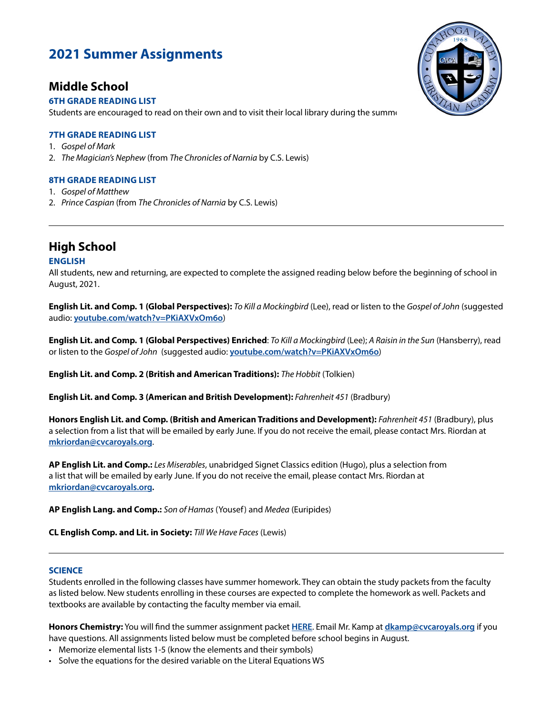# **2021 Summer Assignments**

## **Middle School**

## **6TH GRADE READING LIST**

Students are encouraged to read on their own and to visit their local library during the summer

## **7TH GRADE READING LIST**

- 1. *Gospel of Mark*
- 2. *The Magician's Nephew* (from *The Chronicles of Narnia* by C.S. Lewis)

## **8TH GRADE READING LIST**

- 1. *Gospel of Matthew*
- 2. *Prince Caspian* (from *The Chronicles of Narnia* by C.S. Lewis)

# **High School**

## **ENGLISH**

All students, new and returning, are expected to complete the assigned reading below before the beginning of school in August, 2021.

**English Lit. and Comp. 1 (Global Perspectives):** *To Kill a Mockingbird* (Lee), read or listen to the *Gospel of John* (suggested audio: **[youtube.com/watch?v=PKiAXVxOm6o](https://www.youtube.com/watch?v=PKiAXVxOm6o)**)

**English Lit. and Comp. 1 (Global Perspectives) Enriched**: *To Kill a Mockingbird* (Lee); *A Raisin in the Sun* (Hansberry), read or listen to the *Gospel of John* (suggested audio: **[youtube.com/watch?v=PKiAXVxOm6o](https://www.youtube.com/watch?v=PKiAXVxOm6o)**)

**English Lit. and Comp. 2 (British and American Traditions):** *The Hobbit* (Tolkien)

**English Lit. and Comp. 3 (American and British Development):** *Fahrenheit 451* (Bradbury)

**Honors English Lit. and Comp. (British and American Traditions and Development):** *Fahrenheit 451* (Bradbury), plus a selection from a list that will be emailed by early June. If you do not receive the email, please contact Mrs. Riordan at **[mkriordan@cvcaroyals.org](mailto:mkriordan%40cvcaroyals.org?subject=)**.

**AP English Lit. and Comp.:** *Les Miserables*, unabridged Signet Classics edition (Hugo), plus a selection from a list that will be emailed by early June. If you do not receive the email, please contact Mrs. Riordan at **[mkriordan@cvcaroyals.org.](mailto:mkriordan%40cvcaroyals.org?subject=)**

**AP English Lang. and Comp.:** *Son of Hamas* (Yousef) and *Medea* (Euripides)

**CL English Comp. and Lit. in Society:** *Till We Have Faces* (Lewis)

### **SCIENCE**

Students enrolled in the following classes have summer homework. They can obtain the study packets from the faculty as listed below. New students enrolling in these courses are expected to complete the homework as well. Packets and textbooks are available by contacting the faculty member via email.

**Honors Chemistry:** You will find the summer assignment packet **[HERE](https://drive.google.com/drive/folders/1CD7dMCgtEDbLSPB_ixalvEbjggoZKPUQ)**. Email Mr. Kamp at **[dkamp@cvcaroyals.org](mailto:dkamp%40cvcaroyals.org?subject=)** if you have questions. All assignments listed below must be completed before school begins in August.

- Memorize elemental lists 1-5 (know the elements and their symbols)
- Solve the equations for the desired variable on the Literal Equations WS

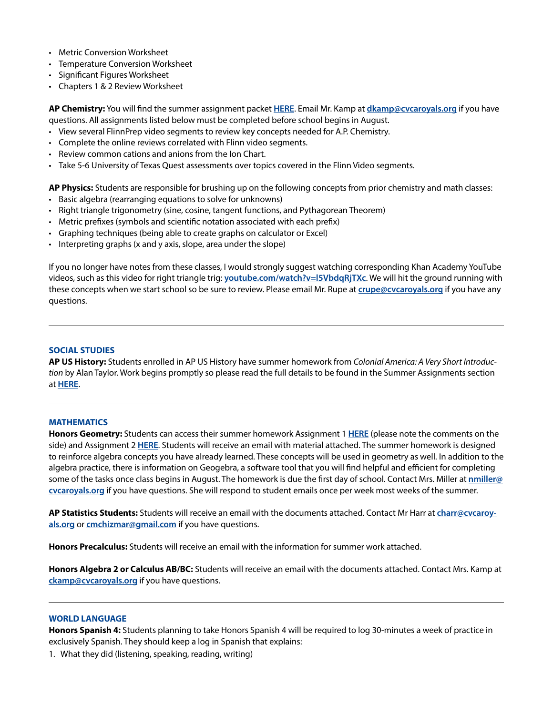- Metric Conversion Worksheet
- Temperature Conversion Worksheet
- Significant Figures Worksheet
- Chapters 1 & 2 Review Worksheet

**AP Chemistry:** You will find the summer assignment packet **[HERE](https://drive.google.com/drive/folders/12pDl60l3Kj1H2Sf--ImBthschyPHxdLE)**. Email Mr. Kamp at **[dkamp@cvcaroyals.org](mailto:dkamp%40cvcaroyals.org?subject=)** if you have questions. All assignments listed below must be completed before school begins in August.

- View several FlinnPrep video segments to review key concepts needed for A.P. Chemistry.
- Complete the online reviews correlated with Flinn video segments.
- Review common cations and anions from the Ion Chart.
- Take 5-6 University of Texas Quest assessments over topics covered in the Flinn Video segments.

**AP Physics:** Students are responsible for brushing up on the following concepts from prior chemistry and math classes:

- Basic algebra (rearranging equations to solve for unknowns)
- Right triangle trigonometry (sine, cosine, tangent functions, and Pythagorean Theorem)
- Metric prefixes (symbols and scientific notation associated with each prefix)
- Graphing techniques (being able to create graphs on calculator or Excel)
- Interpreting graphs (x and y axis, slope, area under the slope)

If you no longer have notes from these classes, I would strongly suggest watching corresponding Khan Academy YouTube videos, such as this video for right triangle trig: **[youtube.com/watch?v=l5VbdqRjTXc](https://www.youtube.com/watch?v=l5VbdqRjTXc)**. We will hit the ground running with these concepts when we start school so be sure to review. Please email Mr. Rupe at **[crupe@cvcaroyals.org](mailto:crupe%40cvcaroyals.org?subject=)** if you have any questions.

#### **SOCIAL STUDIES**

**AP US History:** Students enrolled in AP US History have summer homework from *Colonial America: A Very Short Introduction* by Alan Taylor. Work begins promptly so please read the full details to be found in the Summer Assignments section at **[HERE](https://docs.google.com/document/d/17mtOBaIQUwx-cxkGm6XxX-xM5KYszLNhdHUlY6dR5Nc/edit)**.

#### **MATHEMATICS**

**Honors Geometry:** Students can access their summer homework Assignment 1 **[HERE](https://drive.google.com/file/d/1iD-qly__PX9bT41yCrYIIcOtip_U1smO/view)** (please note the comments on the side) and Assignment 2 **[HERE](https://docs.google.com/document/d/1xw0pN8wsoNcbb3cW3Hf5bSv3BJsnxvpbOLPGv43wDNY/edit)**. Students will receive an email with material attached. The summer homework is designed to reinforce algebra concepts you have already learned. These concepts will be used in geometry as well. In addition to the algebra practice, there is information on Geogebra, a software tool that you will find helpful and efficient for completing some of the tasks once class begins in August. The homework is due the first day of school. Contact Mrs. Miller at **[nmiller@](mailto:nmiller%40cvcaroyals.org?subject=) [cvcaroyals.org](mailto:nmiller%40cvcaroyals.org?subject=)** if you have questions. She will respond to student emails once per week most weeks of the summer.

**AP Statistics Students:** Students will receive an email with the documents attached. Contact Mr Harr at **[charr@cvcaroy](mailto:charr%40cvcaroyals.org?subject=)[als.org](mailto:charr%40cvcaroyals.org?subject=)** or **[cmchizmar@gmail.com](mailto:cmchizmar%40gmail.com?subject=)** if you have questions.

**Honors Precalculus:** Students will receive an email with the information for summer work attached.

**Honors Algebra 2 or Calculus AB/BC:** Students will receive an email with the documents attached. Contact Mrs. Kamp at **[ckamp@cvcaroyals.org](mailto:ckamp%40cvcaroyals.org?subject=)** if you have questions.

#### **WORLD LANGUAGE**

**Honors Spanish 4:** Students planning to take Honors Spanish 4 will be required to log 30-minutes a week of practice in exclusively Spanish. They should keep a log in Spanish that explains:

1. What they did (listening, speaking, reading, writing)